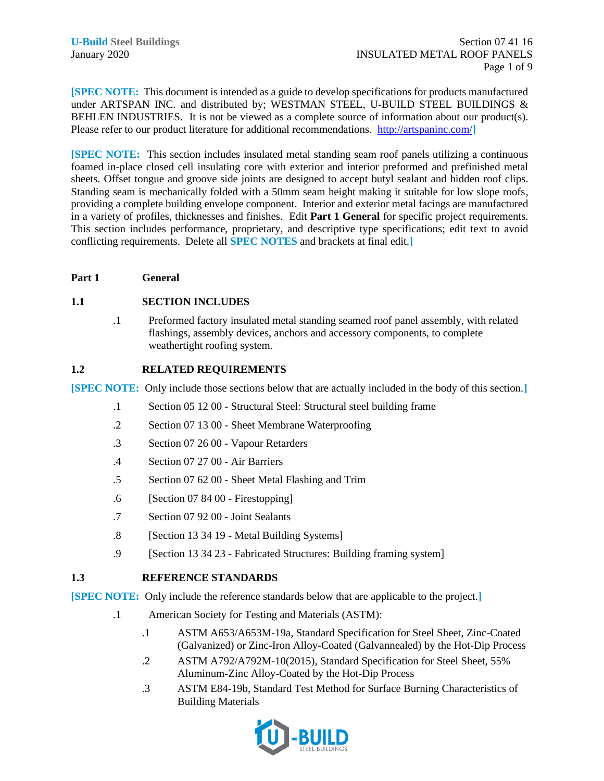**[SPEC NOTE:** This document is intended as a guide to develop specifications for products manufactured under ARTSPAN INC. and distributed by; WESTMAN STEEL, U-BUILD STEEL BUILDINGS & BEHLEN INDUSTRIES. It is not be viewed as a complete source of information about our product(s). Please refer to our product literature for additional recommendations.<http://artspaninc.com/>**]**

**[SPEC NOTE:** This section includes insulated metal standing seam roof panels utilizing a continuous foamed in-place closed cell insulating core with exterior and interior preformed and prefinished metal sheets. Offset tongue and groove side joints are designed to accept butyl sealant and hidden roof clips. Standing seam is mechanically folded with a 50mm seam height making it suitable for low slope roofs, providing a complete building envelope component. Interior and exterior metal facings are manufactured in a variety of profiles, thicknesses and finishes. Edit **Part 1 General** for specific project requirements. This section includes performance, proprietary, and descriptive type specifications; edit text to avoid conflicting requirements. Delete all **SPEC NOTES** and brackets at final edit.**]**

## **Part 1 General**

## **1.1 SECTION INCLUDES**

.1 Preformed factory insulated metal standing seamed roof panel assembly, with related flashings, assembly devices, anchors and accessory components, to complete weathertight roofing system.

## **1.2 RELATED REQUIREMENTS**

**[SPEC NOTE:** Only include those sections below that are actually included in the body of this section.**]**

- .1 Section 05 12 00 Structural Steel: Structural steel building frame
- .2 Section 07 13 00 Sheet Membrane Waterproofing
- .3 Section 07 26 00 Vapour Retarders
- .4 Section 07 27 00 Air Barriers
- .5 Section 07 62 00 Sheet Metal Flashing and Trim
- .6 [Section 07 84 00 Firestopping]
- .7 Section 07 92 00 Joint Sealants
- .8 [Section 13 34 19 Metal Building Systems]
- .9 [Section 13 34 23 Fabricated Structures: Building framing system]

# **1.3 REFERENCE STANDARDS**

**[SPEC NOTE:** Only include the reference standards below that are applicable to the project.**]**

- .1 American Society for Testing and Materials (ASTM):
	- .1 ASTM A653/A653M-19a, Standard Specification for Steel Sheet, Zinc-Coated (Galvanized) or Zinc-Iron Alloy-Coated (Galvannealed) by the Hot-Dip Process
	- .2 ASTM A792/A792M-10(2015), Standard Specification for Steel Sheet, 55% Aluminum-Zinc Alloy-Coated by the Hot-Dip Process
	- .3 ASTM E84-19b, Standard Test Method for Surface Burning Characteristics of Building Materials

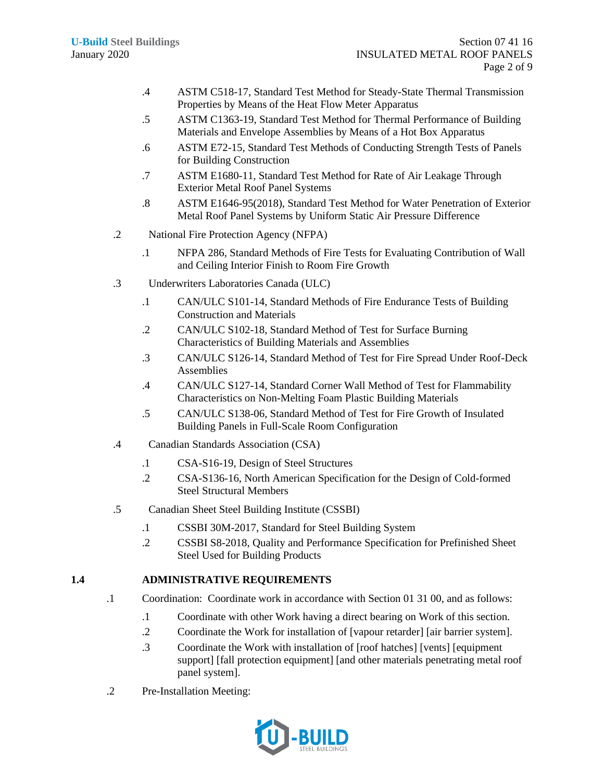- .4 ASTM C518-17, Standard Test Method for Steady-State Thermal Transmission Properties by Means of the Heat Flow Meter Apparatus
- .5 ASTM C1363-19, Standard Test Method for Thermal Performance of Building Materials and Envelope Assemblies by Means of a Hot Box Apparatus
- .6 ASTM E72-15, Standard Test Methods of Conducting Strength Tests of Panels for Building Construction
- .7 ASTM E1680-11, Standard Test Method for Rate of Air Leakage Through Exterior Metal Roof Panel Systems
- .8 ASTM E1646-95(2018), Standard Test Method for Water Penetration of Exterior Metal Roof Panel Systems by Uniform Static Air Pressure Difference
- .2 National Fire Protection Agency (NFPA)
	- .1 NFPA 286, Standard Methods of Fire Tests for Evaluating Contribution of Wall and Ceiling Interior Finish to Room Fire Growth
- .3 Underwriters Laboratories Canada (ULC)
	- .1 CAN/ULC S101-14, Standard Methods of Fire Endurance Tests of Building Construction and Materials
	- .2 CAN/ULC S102-18, Standard Method of Test for Surface Burning Characteristics of Building Materials and Assemblies
	- .3 CAN/ULC S126-14, Standard Method of Test for Fire Spread Under Roof-Deck Assemblies
	- .4 CAN/ULC S127-14, Standard Corner Wall Method of Test for Flammability Characteristics on Non-Melting Foam Plastic Building Materials
	- .5 CAN/ULC S138-06, Standard Method of Test for Fire Growth of Insulated Building Panels in Full-Scale Room Configuration
- .4 Canadian Standards Association (CSA)
	- .1 CSA-S16-19, Design of Steel Structures
	- .2 CSA-S136-16, North American Specification for the Design of Cold-formed Steel Structural Members
- .5 Canadian Sheet Steel Building Institute (CSSBI)
	- .1 CSSBI 30M-2017, Standard for Steel Building System
	- .2 CSSBI S8-2018, Quality and Performance Specification for Prefinished Sheet Steel Used for Building Products

# **1.4 ADMINISTRATIVE REQUIREMENTS**

- .1 Coordination: Coordinate work in accordance with Section 01 31 00, and as follows:
	- .1 Coordinate with other Work having a direct bearing on Work of this section.
	- .2 Coordinate the Work for installation of [vapour retarder] [air barrier system].
	- .3 Coordinate the Work with installation of [roof hatches] [vents] [equipment support] [fall protection equipment] [and other materials penetrating metal roof panel system].
- .2 Pre-Installation Meeting:

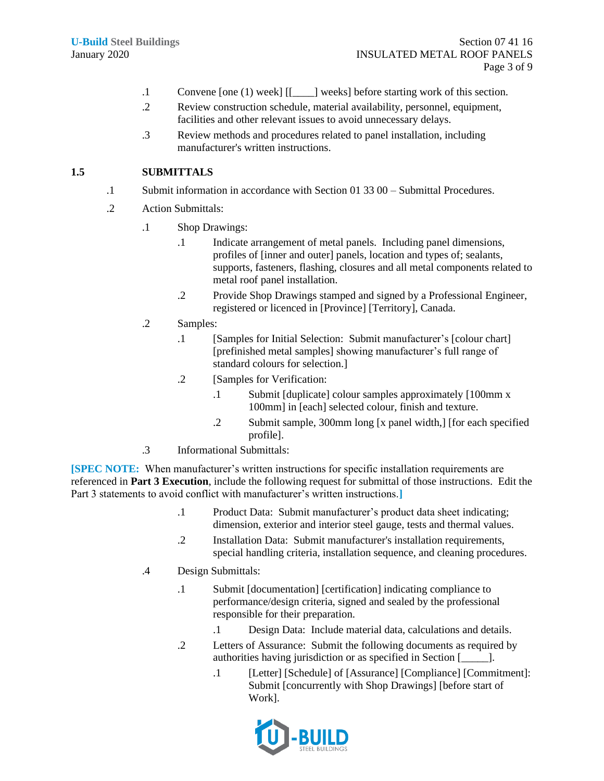- .1 Convene [one (1) week] [[\_\_\_\_] weeks] before starting work of this section.
- .2 Review construction schedule, material availability, personnel, equipment, facilities and other relevant issues to avoid unnecessary delays.
- .3 Review methods and procedures related to panel installation, including manufacturer's written instructions.

# **1.5 SUBMITTALS**

- .1 Submit information in accordance with Section 01 33 00 Submittal Procedures.
- .2 Action Submittals:
	- .1 Shop Drawings:
		- .1 Indicate arrangement of metal panels. Including panel dimensions, profiles of [inner and outer] panels, location and types of; sealants, supports, fasteners, flashing, closures and all metal components related to metal roof panel installation.
		- .2 Provide Shop Drawings stamped and signed by a Professional Engineer, registered or licenced in [Province] [Territory], Canada.
	- .2 Samples:
		- .1 [Samples for Initial Selection: Submit manufacturer's [colour chart] [prefinished metal samples] showing manufacturer's full range of standard colours for selection.]
		- .2 [Samples for Verification:
			- .1 Submit [duplicate] colour samples approximately [100mm x 100mm] in [each] selected colour, finish and texture.
			- .2 Submit sample, 300mm long [x panel width,] [for each specified profile].
	- .3 Informational Submittals:

**[SPEC NOTE:** When manufacturer's written instructions for specific installation requirements are referenced in **Part 3 Execution**, include the following request for submittal of those instructions. Edit the Part 3 statements to avoid conflict with manufacturer's written instructions.**]**

- .1 Product Data: Submit manufacturer's product data sheet indicating; dimension, exterior and interior steel gauge, tests and thermal values.
- .2 Installation Data: Submit manufacturer's installation requirements, special handling criteria, installation sequence, and cleaning procedures.
- .4 Design Submittals:
	- .1 Submit [documentation] [certification] indicating compliance to performance/design criteria, signed and sealed by the professional responsible for their preparation.
		- .1 Design Data: Include material data, calculations and details.
	- .2 Letters of Assurance: Submit the following documents as required by authorities having jurisdiction or as specified in Section [2004].
		- .1 [Letter] [Schedule] of [Assurance] [Compliance] [Commitment]: Submit [concurrently with Shop Drawings] [before start of Work].

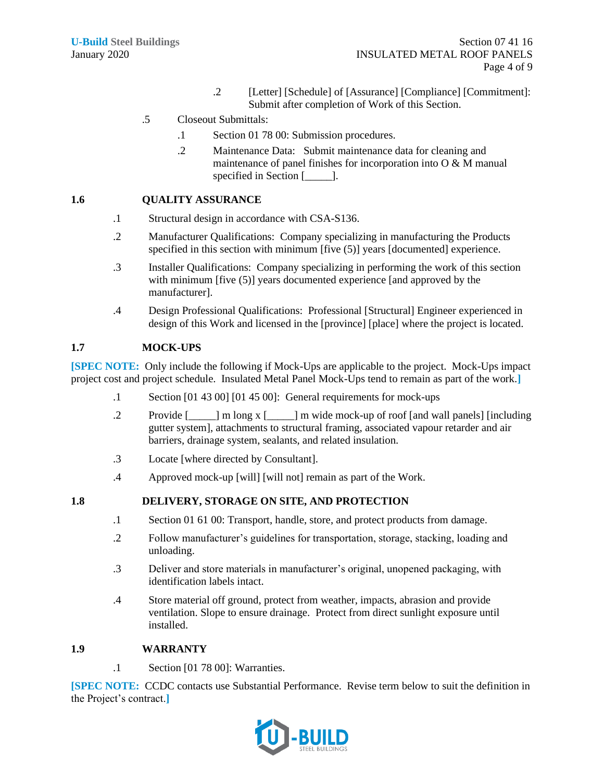- .2 [Letter] [Schedule] of [Assurance] [Compliance] [Commitment]: Submit after completion of Work of this Section.
- .5 Closeout Submittals:
	- .1 Section 01 78 00: Submission procedures.
	- .2 Maintenance Data: Submit maintenance data for cleaning and maintenance of panel finishes for incorporation into O & M manual specified in Section [\_\_\_\_\_].

## **1.6 QUALITY ASSURANCE**

- .1 Structural design in accordance with CSA-S136.
- .2 Manufacturer Qualifications: Company specializing in manufacturing the Products specified in this section with minimum [five (5)] years [documented] experience.
- .3 Installer Qualifications: Company specializing in performing the work of this section with minimum [five (5)] years documented experience [and approved by the manufacturer].
- .4 Design Professional Qualifications: Professional [Structural] Engineer experienced in design of this Work and licensed in the [province] [place] where the project is located.

# **1.7 MOCK-UPS**

**[SPEC NOTE:** Only include the following if Mock-Ups are applicable to the project. Mock-Ups impact project cost and project schedule. Insulated Metal Panel Mock-Ups tend to remain as part of the work.**]**

- .1 Section [01 43 00] [01 45 00]: General requirements for mock-ups
- .2 Provide [\_\_\_\_\_] m long x [\_\_\_\_\_] m wide mock-up of roof [and wall panels] [including gutter system], attachments to structural framing, associated vapour retarder and air barriers, drainage system, sealants, and related insulation.
- .3 Locate [where directed by Consultant].
- .4 Approved mock-up [will] [will not] remain as part of the Work.

# **1.8 DELIVERY, STORAGE ON SITE, AND PROTECTION**

- .1 Section 01 61 00: Transport, handle, store, and protect products from damage.
- .2 Follow manufacturer's guidelines for transportation, storage, stacking, loading and unloading.
- .3 Deliver and store materials in manufacturer's original, unopened packaging, with identification labels intact.
- .4 Store material off ground, protect from weather, impacts, abrasion and provide ventilation. Slope to ensure drainage. Protect from direct sunlight exposure until installed.

# **1.9 WARRANTY**

.1 Section [01 78 00]: Warranties.

**[SPEC NOTE:** CCDC contacts use Substantial Performance. Revise term below to suit the definition in the Project's contract.**]**

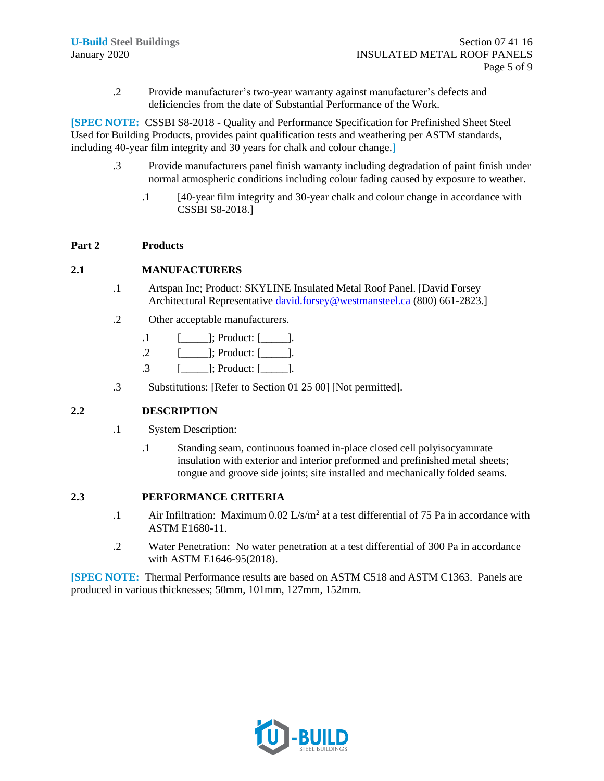.2 Provide manufacturer's two-year warranty against manufacturer's defects and deficiencies from the date of Substantial Performance of the Work.

**[SPEC NOTE:** CSSBI S8-2018 - Quality and Performance Specification for Prefinished Sheet Steel Used for Building Products, provides paint qualification tests and weathering per ASTM standards, including 40-year film integrity and 30 years for chalk and colour change.**]**

- .3 Provide manufacturers panel finish warranty including degradation of paint finish under normal atmospheric conditions including colour fading caused by exposure to weather.
	- .1 [40-year film integrity and 30-year chalk and colour change in accordance with CSSBI S8-2018.]

## **Part 2 Products**

## **2.1 MANUFACTURERS**

- .1 Artspan Inc; Product: SKYLINE Insulated Metal Roof Panel. [David Forsey Architectural Representative [david.forsey@westmansteel.ca](mailto:david.forsey@westmansteel.ca) (800) 661-2823.]
- .2 Other acceptable manufacturers.
	- $.1$  [\_\_\_\_\_\_\_]; Product: [\_\_\_\_\_].
	- $.2 \qquad$  [ ]; Product:  $\lceil$  ].
	- .3 [\_\_\_\_\_]; Product: [\_\_\_\_\_].
- .3 Substitutions: [Refer to Section 01 25 00] [Not permitted].

# **2.2 DESCRIPTION**

- .1 System Description:
	- .1 Standing seam, continuous foamed in-place closed cell polyisocyanurate insulation with exterior and interior preformed and prefinished metal sheets; tongue and groove side joints; site installed and mechanically folded seams.

## **2.3 PERFORMANCE CRITERIA**

- .1 Air Infiltration: Maximum  $0.02 \text{ L/s/m}^2$  at a test differential of 75 Pa in accordance with ASTM E1680-11.
- .2 Water Penetration: No water penetration at a test differential of 300 Pa in accordance with ASTM E1646-95(2018).

**[SPEC NOTE:** Thermal Performance results are based on ASTM C518 and ASTM C1363. Panels are produced in various thicknesses; 50mm, 101mm, 127mm, 152mm.

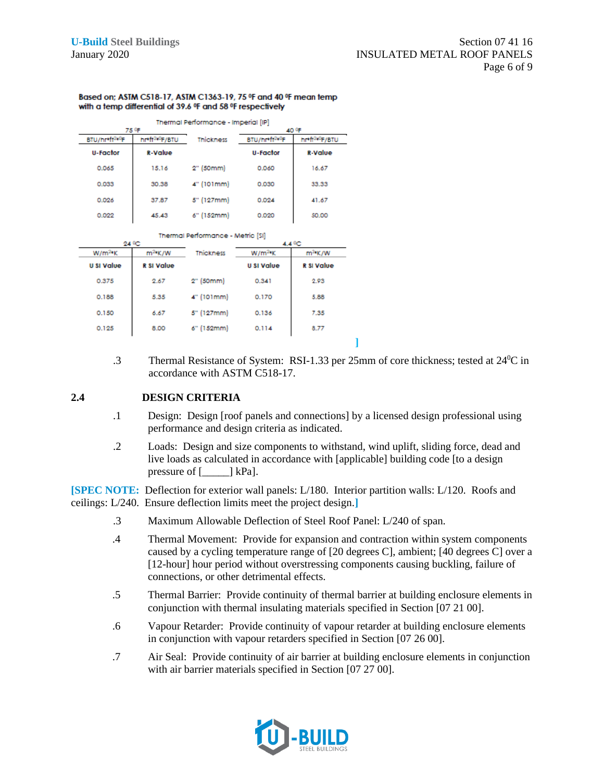#### Based on: ASTM C518-17, ASTM C1363-19, 75 °F and 40 °F mean temp with a temp differential of 39.6 °F and 58 °F respectively

|                            | Thermal Performance - Imperial [IP]<br>40 ºF<br>75 ºF<br><b>Thickness</b> |            |                            |                            |  |
|----------------------------|---------------------------------------------------------------------------|------------|----------------------------|----------------------------|--|
|                            |                                                                           |            |                            |                            |  |
| BTU/hr*ft <sup>2+0</sup> F | hr*ft <sup>240</sup> F/BTU                                                |            | BTU/hr*ft <sup>2+0</sup> F | hr*ft <sup>240</sup> F/BTU |  |
| <b>U-Factor</b>            | <b>R-Value</b>                                                            |            | <b>U-Factor</b>            | <b>R-Value</b>             |  |
| 0.065                      | 15.16                                                                     | 2" (50mm)  | 0.060                      | 16.67                      |  |
| 0.033                      | 30.38                                                                     | 4" (101mm) | 0.030                      | 33.33                      |  |
| 0.026                      | 37.87                                                                     | 5" (127mm) | 0.024                      | 41.67                      |  |
| 0.022                      | 45.43                                                                     | 6" (152mm) | 0.020                      | 50.00                      |  |

**Contract Adam** 

| 24 ºC             |                   |                  | 4.4 °C                 |                   |
|-------------------|-------------------|------------------|------------------------|-------------------|
| $W/m^{2n}K$       | $m^2$ K/W         | <b>Thickness</b> | $W/m^2$ <sup>e</sup> K | $m^2$ K/W         |
| <b>U SI Value</b> | <b>R SI Value</b> |                  | <b>U SI Value</b>      | <b>R SI Value</b> |
| 0.375             | 2.67              | 2" (50mm)        | 0.341                  | 2.93              |
| 0.188             | 5.35              | 4" (101mm)       | 0.170                  | 5.88              |
| 0.150             | 6.67              | 5" (127mm)       | 0.136                  | 7.35              |
| 0.125             | 8.00              | 6" (152mm)       | 0.114                  | 8.77              |

.3 Thermal Resistance of System: RSI-1.33 per 25mm of core thickness; tested at 24<sup>0</sup>C in accordance with ASTM C518-17.

**]**

## **2.4 DESIGN CRITERIA**

- .1 Design: Design [roof panels and connections] by a licensed design professional using performance and design criteria as indicated.
- .2 Loads: Design and size components to withstand, wind uplift, sliding force, dead and live loads as calculated in accordance with [applicable] building code [to a design pressure of  $[\_\_\]$  kPa].

**[SPEC NOTE:** Deflection for exterior wall panels: L/180. Interior partition walls: L/120. Roofs and ceilings: L/240. Ensure deflection limits meet the project design.**]**

- .3 Maximum Allowable Deflection of Steel Roof Panel: L/240 of span.
- .4 Thermal Movement: Provide for expansion and contraction within system components caused by a cycling temperature range of [20 degrees C], ambient; [40 degrees C] over a [12-hour] hour period without overstressing components causing buckling, failure of connections, or other detrimental effects.
- .5 Thermal Barrier: Provide continuity of thermal barrier at building enclosure elements in conjunction with thermal insulating materials specified in Section [07 21 00].
- .6 Vapour Retarder: Provide continuity of vapour retarder at building enclosure elements in conjunction with vapour retarders specified in Section [07 26 00].
- .7 Air Seal: Provide continuity of air barrier at building enclosure elements in conjunction with air barrier materials specified in Section [07 27 00].

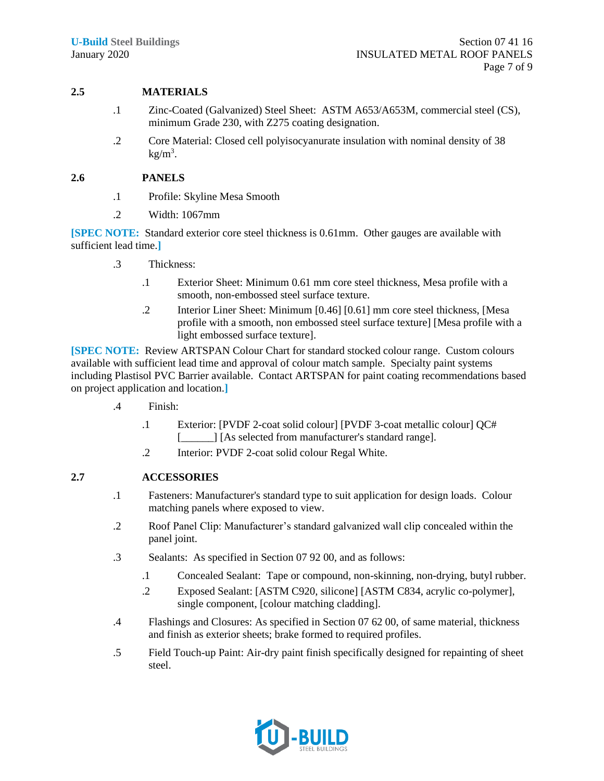# **2.5 MATERIALS**

- .1 Zinc-Coated (Galvanized) Steel Sheet: ASTM A653/A653M, commercial steel (CS), minimum Grade 230, with Z275 coating designation.
- .2 Core Material: Closed cell polyisocyanurate insulation with nominal density of 38  $kg/m<sup>3</sup>$ .

## **2.6 PANELS**

- .1 Profile: Skyline Mesa Smooth
- .2 Width: 1067mm

**[SPEC NOTE:** Standard exterior core steel thickness is 0.61mm. Other gauges are available with sufficient lead time.**]**

- .3 Thickness:
	- .1 Exterior Sheet: Minimum 0.61 mm core steel thickness, Mesa profile with a smooth, non-embossed steel surface texture.
	- .2 Interior Liner Sheet: Minimum [0.46] [0.61] mm core steel thickness, [Mesa profile with a smooth, non embossed steel surface texture] [Mesa profile with a light embossed surface texture].

**[SPEC NOTE:** Review ARTSPAN Colour Chart for standard stocked colour range. Custom colours available with sufficient lead time and approval of colour match sample. Specialty paint systems including Plastisol PVC Barrier available. Contact ARTSPAN for paint coating recommendations based on project application and location.**]**

- .4 Finish:
	- .1 Exterior: [PVDF 2-coat solid colour] [PVDF 3-coat metallic colour] QC# [all Society and Society 1 [As selected from manufacturer's standard range].
	- .2 Interior: PVDF 2-coat solid colour Regal White.

# **2.7 ACCESSORIES**

- .1 Fasteners: Manufacturer's standard type to suit application for design loads. Colour matching panels where exposed to view.
- .2 Roof Panel Clip: Manufacturer's standard galvanized wall clip concealed within the panel joint.
- .3 Sealants: As specified in Section 07 92 00, and as follows:
	- .1 Concealed Sealant: Tape or compound, non-skinning, non-drying, butyl rubber.
	- .2 Exposed Sealant: [ASTM C920, silicone] [ASTM C834, acrylic co-polymer], single component, [colour matching cladding].
- .4 Flashings and Closures: As specified in Section 07 62 00, of same material, thickness and finish as exterior sheets; brake formed to required profiles.
- .5 Field Touch-up Paint: Air-dry paint finish specifically designed for repainting of sheet steel.

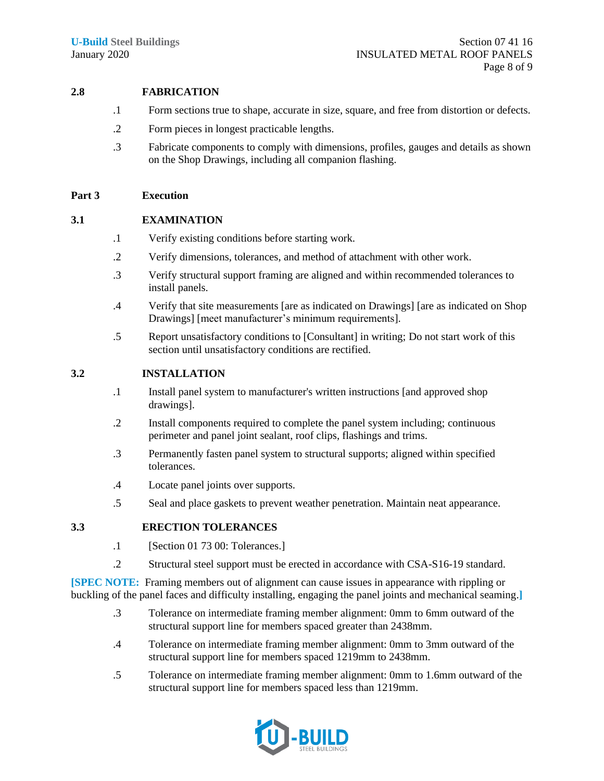## **2.8 FABRICATION**

- .1 Form sections true to shape, accurate in size, square, and free from distortion or defects.
- .2 Form pieces in longest practicable lengths.
- .3 Fabricate components to comply with dimensions, profiles, gauges and details as shown on the Shop Drawings, including all companion flashing.

## **Part 3 Execution**

## **3.1 EXAMINATION**

- .1 Verify existing conditions before starting work.
- .2 Verify dimensions, tolerances, and method of attachment with other work.
- .3 Verify structural support framing are aligned and within recommended tolerances to install panels.
- .4 Verify that site measurements [are as indicated on Drawings] [are as indicated on Shop Drawings] [meet manufacturer's minimum requirements].
- .5 Report unsatisfactory conditions to [Consultant] in writing; Do not start work of this section until unsatisfactory conditions are rectified.

### **3.2 INSTALLATION**

- .1 Install panel system to manufacturer's written instructions [and approved shop drawings].
- .2 Install components required to complete the panel system including; continuous perimeter and panel joint sealant, roof clips, flashings and trims.
- .3 Permanently fasten panel system to structural supports; aligned within specified tolerances.
- .4 Locate panel joints over supports.
- .5 Seal and place gaskets to prevent weather penetration. Maintain neat appearance.

### **3.3 ERECTION TOLERANCES**

- .1 [Section 01 73 00: Tolerances.]
- .2 Structural steel support must be erected in accordance with CSA-S16-19 standard.

**[SPEC NOTE:** Framing members out of alignment can cause issues in appearance with rippling or buckling of the panel faces and difficulty installing, engaging the panel joints and mechanical seaming.**]**

- .3 Tolerance on intermediate framing member alignment: 0mm to 6mm outward of the structural support line for members spaced greater than 2438mm.
- .4 Tolerance on intermediate framing member alignment: 0mm to 3mm outward of the structural support line for members spaced 1219mm to 2438mm.
- .5 Tolerance on intermediate framing member alignment: 0mm to 1.6mm outward of the structural support line for members spaced less than 1219mm.